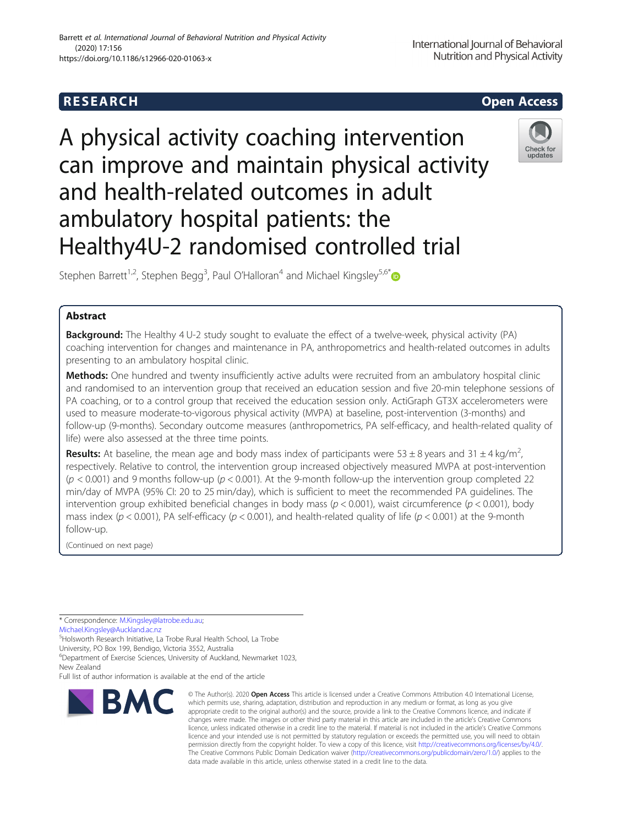

A physical activity coaching intervention can improve and maintain physical activity and health-related outcomes in adult ambulatory hospital patients: the Healthy4U-2 randomised controlled trial



Stephen Barrett<sup>1,2</sup>, Stephen Begg<sup>3</sup>, Paul O'Halloran<sup>4</sup> and Michael Kingsley<sup>5,6\*</sup>

# Abstract

**Background:** The Healthy 4 U-2 study sought to evaluate the effect of a twelve-week, physical activity (PA) coaching intervention for changes and maintenance in PA, anthropometrics and health-related outcomes in adults presenting to an ambulatory hospital clinic.

Methods: One hundred and twenty insufficiently active adults were recruited from an ambulatory hospital clinic and randomised to an intervention group that received an education session and five 20-min telephone sessions of PA coaching, or to a control group that received the education session only. ActiGraph GT3X accelerometers were used to measure moderate-to-vigorous physical activity (MVPA) at baseline, post-intervention (3-months) and follow-up (9-months). Secondary outcome measures (anthropometrics, PA self-efficacy, and health-related quality of life) were also assessed at the three time points.

**Results:** At baseline, the mean age and body mass index of participants were 53  $\pm$  8 years and 31  $\pm$  4 kg/m<sup>2</sup>, , respectively. Relative to control, the intervention group increased objectively measured MVPA at post-intervention  $(p < 0.001)$  and 9 months follow-up  $(p < 0.001)$ . At the 9-month follow-up the intervention group completed 22 min/day of MVPA (95% CI: 20 to 25 min/day), which is sufficient to meet the recommended PA guidelines. The intervention group exhibited beneficial changes in body mass ( $p < 0.001$ ), waist circumference ( $p < 0.001$ ), body mass index ( $p < 0.001$ ), PA self-efficacy ( $p < 0.001$ ), and health-related quality of life ( $p < 0.001$ ) at the 9-month follow-up.

(Continued on next page)

\* Correspondence: [M.Kingsley@latrobe.edu.au;](mailto:M.Kingsley@latrobe.edu.au)

[Michael.Kingsley@Auckland.ac.nz](mailto:Michael.Kingsley@Auckland.ac.nz)

5 Holsworth Research Initiative, La Trobe Rural Health School, La Trobe

University, PO Box 199, Bendigo, Victoria 3552, Australia 6 Department of Exercise Sciences, University of Auckland, Newmarket 1023,

New Zealand

Full list of author information is available at the end of the article



<sup>©</sup> The Author(s), 2020 **Open Access** This article is licensed under a Creative Commons Attribution 4.0 International License, which permits use, sharing, adaptation, distribution and reproduction in any medium or format, as long as you give appropriate credit to the original author(s) and the source, provide a link to the Creative Commons licence, and indicate if changes were made. The images or other third party material in this article are included in the article's Creative Commons licence, unless indicated otherwise in a credit line to the material. If material is not included in the article's Creative Commons licence and your intended use is not permitted by statutory regulation or exceeds the permitted use, you will need to obtain permission directly from the copyright holder. To view a copy of this licence, visit [http://creativecommons.org/licenses/by/4.0/.](http://creativecommons.org/licenses/by/4.0/) The Creative Commons Public Domain Dedication waiver [\(http://creativecommons.org/publicdomain/zero/1.0/](http://creativecommons.org/publicdomain/zero/1.0/)) applies to the data made available in this article, unless otherwise stated in a credit line to the data.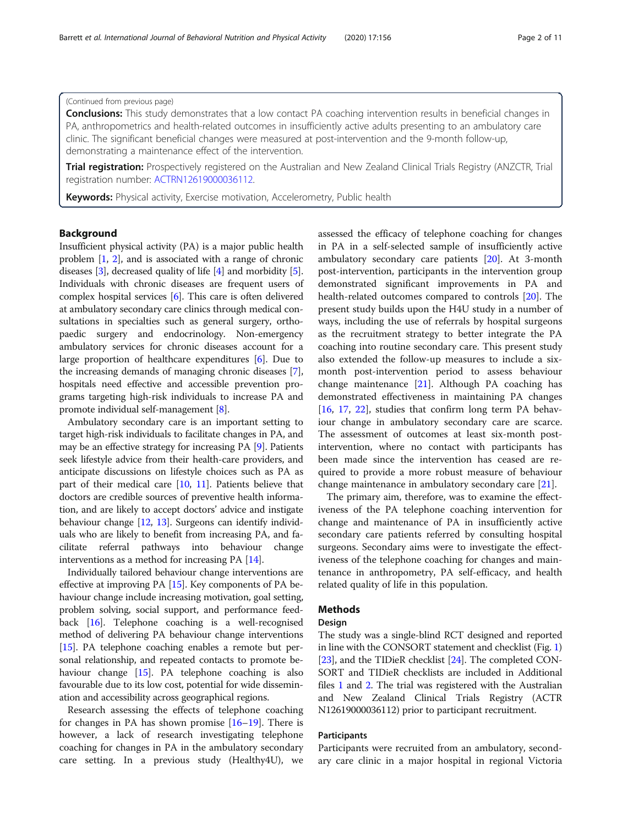# (Continued from previous page)

**Conclusions:** This study demonstrates that a low contact PA coaching intervention results in beneficial changes in PA, anthropometrics and health-related outcomes in insufficiently active adults presenting to an ambulatory care clinic. The significant beneficial changes were measured at post-intervention and the 9-month follow-up, demonstrating a maintenance effect of the intervention.

Trial registration: Prospectively registered on the Australian and New Zealand Clinical Trials Registry (ANZCTR, Trial registration number: [ACTRN12619000036112](http://anzctr.org.au/Trial/Registration/TrialReview.aspx?id=376318).

Keywords: Physical activity, Exercise motivation, Accelerometry, Public health

# Background

Insufficient physical activity (PA) is a major public health problem [\[1,](#page-8-0) [2](#page-9-0)], and is associated with a range of chronic diseases [\[3\]](#page-9-0), decreased quality of life [\[4\]](#page-9-0) and morbidity [[5](#page-9-0)]. Individuals with chronic diseases are frequent users of complex hospital services [\[6](#page-9-0)]. This care is often delivered at ambulatory secondary care clinics through medical consultations in specialties such as general surgery, orthopaedic surgery and endocrinology. Non-emergency ambulatory services for chronic diseases account for a large proportion of healthcare expenditures [\[6](#page-9-0)]. Due to the increasing demands of managing chronic diseases [[7](#page-9-0)], hospitals need effective and accessible prevention programs targeting high-risk individuals to increase PA and promote individual self-management [[8\]](#page-9-0).

Ambulatory secondary care is an important setting to target high-risk individuals to facilitate changes in PA, and may be an effective strategy for increasing PA [\[9\]](#page-9-0). Patients seek lifestyle advice from their health-care providers, and anticipate discussions on lifestyle choices such as PA as part of their medical care [[10](#page-9-0), [11\]](#page-9-0). Patients believe that doctors are credible sources of preventive health information, and are likely to accept doctors' advice and instigate behaviour change [[12](#page-9-0), [13\]](#page-9-0). Surgeons can identify individuals who are likely to benefit from increasing PA, and facilitate referral pathways into behaviour change interventions as a method for increasing PA [\[14\]](#page-9-0).

Individually tailored behaviour change interventions are effective at improving PA [\[15](#page-9-0)]. Key components of PA behaviour change include increasing motivation, goal setting, problem solving, social support, and performance feedback [\[16\]](#page-9-0). Telephone coaching is a well-recognised method of delivering PA behaviour change interventions [[15](#page-9-0)]. PA telephone coaching enables a remote but personal relationship, and repeated contacts to promote behaviour change [\[15\]](#page-9-0). PA telephone coaching is also favourable due to its low cost, potential for wide dissemination and accessibility across geographical regions.

Research assessing the effects of telephone coaching for changes in PA has shown promise [[16](#page-9-0)–[19\]](#page-9-0). There is however, a lack of research investigating telephone coaching for changes in PA in the ambulatory secondary care setting. In a previous study (Healthy4U), we assessed the efficacy of telephone coaching for changes in PA in a self-selected sample of insufficiently active ambulatory secondary care patients [\[20](#page-9-0)]. At 3-month post-intervention, participants in the intervention group demonstrated significant improvements in PA and health-related outcomes compared to controls [[20](#page-9-0)]. The present study builds upon the H4U study in a number of ways, including the use of referrals by hospital surgeons as the recruitment strategy to better integrate the PA coaching into routine secondary care. This present study also extended the follow-up measures to include a sixmonth post-intervention period to assess behaviour change maintenance [\[21\]](#page-9-0). Although PA coaching has demonstrated effectiveness in maintaining PA changes [[16,](#page-9-0) [17,](#page-9-0) [22](#page-9-0)], studies that confirm long term PA behaviour change in ambulatory secondary care are scarce. The assessment of outcomes at least six-month postintervention, where no contact with participants has been made since the intervention has ceased are required to provide a more robust measure of behaviour change maintenance in ambulatory secondary care [\[21](#page-9-0)].

The primary aim, therefore, was to examine the effectiveness of the PA telephone coaching intervention for change and maintenance of PA in insufficiently active secondary care patients referred by consulting hospital surgeons. Secondary aims were to investigate the effectiveness of the telephone coaching for changes and maintenance in anthropometry, PA self-efficacy, and health related quality of life in this population.

# Methods

# Design

The study was a single-blind RCT designed and reported in line with the CONSORT statement and checklist (Fig. [1](#page-2-0)) [[23](#page-9-0)], and the TIDieR checklist [\[24\]](#page-9-0). The completed CON-SORT and TIDieR checklists are included in Additional files [1](#page-8-0) and [2](#page-8-0). The trial was registered with the Australian and New Zealand Clinical Trials Registry (ACTR N12619000036112) prior to participant recruitment.

# **Participants**

Participants were recruited from an ambulatory, secondary care clinic in a major hospital in regional Victoria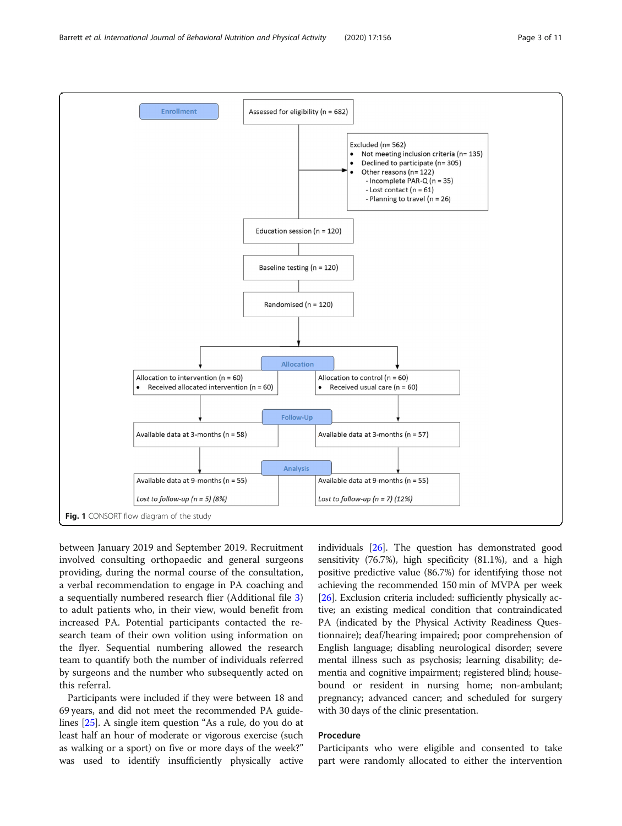<span id="page-2-0"></span>

between January 2019 and September 2019. Recruitment involved consulting orthopaedic and general surgeons providing, during the normal course of the consultation, a verbal recommendation to engage in PA coaching and a sequentially numbered research flier (Additional file [3](#page-8-0)) to adult patients who, in their view, would benefit from increased PA. Potential participants contacted the research team of their own volition using information on the flyer. Sequential numbering allowed the research team to quantify both the number of individuals referred by surgeons and the number who subsequently acted on this referral.

Participants were included if they were between 18 and 69 years, and did not meet the recommended PA guidelines [\[25\]](#page-9-0). A single item question "As a rule, do you do at least half an hour of moderate or vigorous exercise (such as walking or a sport) on five or more days of the week?" was used to identify insufficiently physically active

individuals [[26](#page-9-0)]. The question has demonstrated good sensitivity (76.7%), high specificity (81.1%), and a high positive predictive value (86.7%) for identifying those not achieving the recommended 150 min of MVPA per week [[26](#page-9-0)]. Exclusion criteria included: sufficiently physically active; an existing medical condition that contraindicated PA (indicated by the Physical Activity Readiness Questionnaire); deaf/hearing impaired; poor comprehension of English language; disabling neurological disorder; severe mental illness such as psychosis; learning disability; dementia and cognitive impairment; registered blind; housebound or resident in nursing home; non-ambulant; pregnancy; advanced cancer; and scheduled for surgery with 30 days of the clinic presentation.

# Procedure

Participants who were eligible and consented to take part were randomly allocated to either the intervention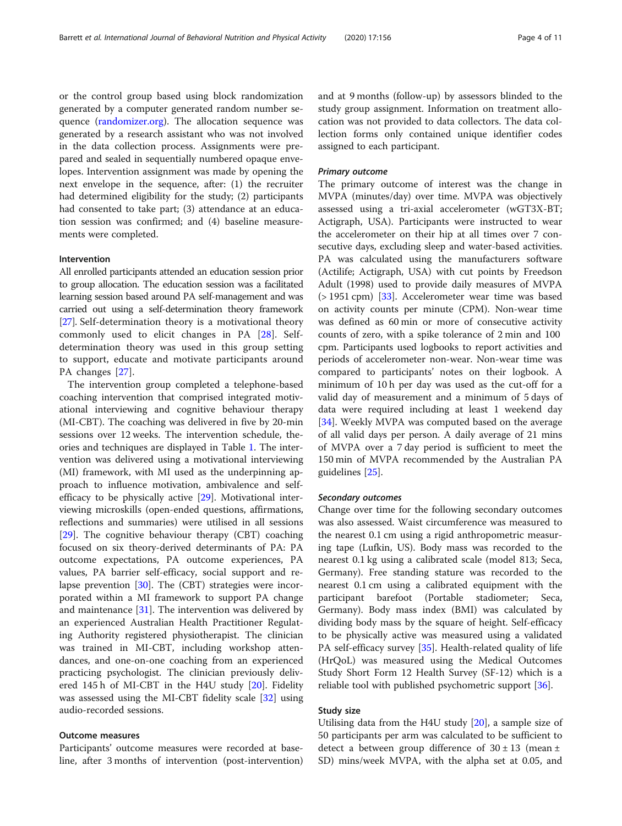or the control group based using block randomization generated by a computer generated random number sequence [\(randomizer.org\)](http://randomizer.org/). The allocation sequence was generated by a research assistant who was not involved in the data collection process. Assignments were prepared and sealed in sequentially numbered opaque envelopes. Intervention assignment was made by opening the next envelope in the sequence, after: (1) the recruiter had determined eligibility for the study; (2) participants had consented to take part; (3) attendance at an education session was confirmed; and (4) baseline measurements were completed.

# Intervention

All enrolled participants attended an education session prior to group allocation. The education session was a facilitated learning session based around PA self-management and was carried out using a self-determination theory framework [[27\]](#page-9-0). Self-determination theory is a motivational theory commonly used to elicit changes in PA [[28\]](#page-9-0). Selfdetermination theory was used in this group setting to support, educate and motivate participants around PA changes [\[27](#page-9-0)].

The intervention group completed a telephone-based coaching intervention that comprised integrated motivational interviewing and cognitive behaviour therapy (MI-CBT). The coaching was delivered in five by 20-min sessions over 12 weeks. The intervention schedule, theories and techniques are displayed in Table [1](#page-4-0). The intervention was delivered using a motivational interviewing (MI) framework, with MI used as the underpinning approach to influence motivation, ambivalence and selfefficacy to be physically active [\[29\]](#page-9-0). Motivational interviewing microskills (open-ended questions, affirmations, reflections and summaries) were utilised in all sessions [[29\]](#page-9-0). The cognitive behaviour therapy (CBT) coaching focused on six theory-derived determinants of PA: PA outcome expectations, PA outcome experiences, PA values, PA barrier self-efficacy, social support and relapse prevention [[30\]](#page-9-0). The (CBT) strategies were incorporated within a MI framework to support PA change and maintenance [[31\]](#page-9-0). The intervention was delivered by an experienced Australian Health Practitioner Regulating Authority registered physiotherapist. The clinician was trained in MI-CBT, including workshop attendances, and one-on-one coaching from an experienced practicing psychologist. The clinician previously delivered 145 h of MI-CBT in the H4U study [[20\]](#page-9-0). Fidelity was assessed using the MI-CBT fidelity scale [[32\]](#page-9-0) using audio-recorded sessions.

# Outcome measures

Participants' outcome measures were recorded at baseline, after 3 months of intervention (post-intervention) and at 9 months (follow-up) by assessors blinded to the study group assignment. Information on treatment allocation was not provided to data collectors. The data collection forms only contained unique identifier codes assigned to each participant.

# Primary outcome

The primary outcome of interest was the change in MVPA (minutes/day) over time. MVPA was objectively assessed using a tri-axial accelerometer (wGT3X-BT; Actigraph, USA). Participants were instructed to wear the accelerometer on their hip at all times over 7 consecutive days, excluding sleep and water-based activities. PA was calculated using the manufacturers software (Actilife; Actigraph, USA) with cut points by Freedson Adult (1998) used to provide daily measures of MVPA (> 1951 cpm) [\[33](#page-9-0)]. Accelerometer wear time was based on activity counts per minute (CPM). Non-wear time was defined as 60 min or more of consecutive activity counts of zero, with a spike tolerance of 2 min and 100 cpm. Participants used logbooks to report activities and periods of accelerometer non-wear. Non-wear time was compared to participants' notes on their logbook. A minimum of 10 h per day was used as the cut-off for a valid day of measurement and a minimum of 5 days of data were required including at least 1 weekend day [[34\]](#page-9-0). Weekly MVPA was computed based on the average of all valid days per person. A daily average of 21 mins of MVPA over a 7 day period is sufficient to meet the 150 min of MVPA recommended by the Australian PA guidelines [[25\]](#page-9-0).

#### Secondary outcomes

Change over time for the following secondary outcomes was also assessed. Waist circumference was measured to the nearest 0.1 cm using a rigid anthropometric measuring tape (Lufkin, US). Body mass was recorded to the nearest 0.1 kg using a calibrated scale (model 813; Seca, Germany). Free standing stature was recorded to the nearest 0.1 cm using a calibrated equipment with the participant barefoot (Portable stadiometer; Seca, Germany). Body mass index (BMI) was calculated by dividing body mass by the square of height. Self-efficacy to be physically active was measured using a validated PA self-efficacy survey [[35](#page-9-0)]. Health-related quality of life (HrQoL) was measured using the Medical Outcomes Study Short Form 12 Health Survey (SF-12) which is a reliable tool with published psychometric support [[36](#page-9-0)].

# Study size

Utilising data from the H4U study [[20\]](#page-9-0), a sample size of 50 participants per arm was calculated to be sufficient to detect a between group difference of  $30 \pm 13$  (mean  $\pm$ SD) mins/week MVPA, with the alpha set at 0.05, and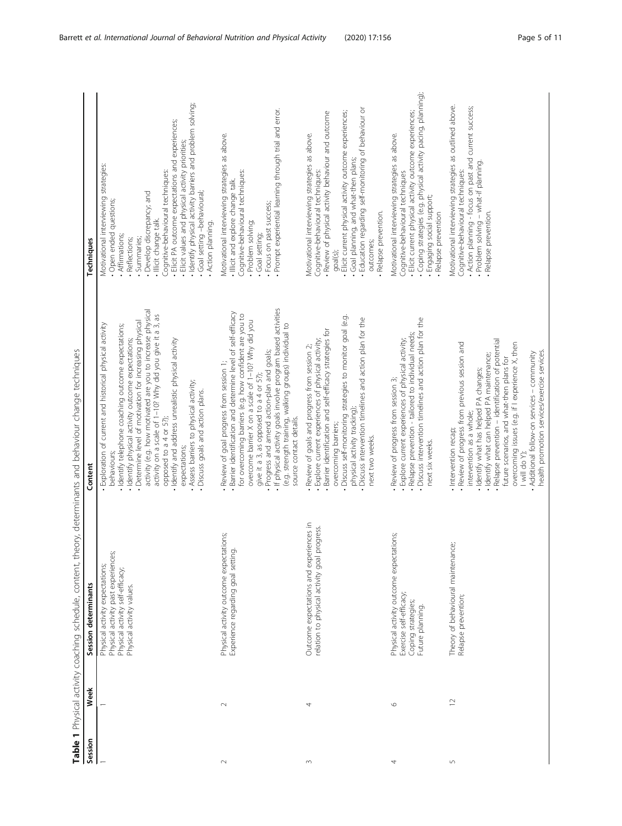Table 1 Physical activity coaching schedule, content, theory, determinants and behaviour change techniques Table 1 Physical activity coaching schedule, content, theory, determinants and behaviour change techniques

<span id="page-4-0"></span>

| Session    | Week           | Session determinants                                                                                                                   | Content                                                                                                                                                                                                                                                                                                                                                                                                                                                                                                                                                | Techniques                                                                                                                                                                                                                                                                                                                                                                                                                                       |
|------------|----------------|----------------------------------------------------------------------------------------------------------------------------------------|--------------------------------------------------------------------------------------------------------------------------------------------------------------------------------------------------------------------------------------------------------------------------------------------------------------------------------------------------------------------------------------------------------------------------------------------------------------------------------------------------------------------------------------------------------|--------------------------------------------------------------------------------------------------------------------------------------------------------------------------------------------------------------------------------------------------------------------------------------------------------------------------------------------------------------------------------------------------------------------------------------------------|
|            |                | Physical activity past experiences<br>Physical activity expectations;<br>Physical activity self-efficacy;<br>Physical activity values. | activity (e.g. how motivated are you to increase physical<br>activity on a scale of 1-10? Why did you give it a 3, as<br>· Determine level of motivation for increasing physical<br>Exploration of current and historical physical activity<br>Identify telephone coaching outcome expectations;<br>· Identify physical activity outcome expectations;<br>· Identify and address unrealistic physical activity<br>. Assess barriers to physical activity;<br>Discuss goals and action plans.<br>opposed to a 4 or 5?);<br>expectations;<br>behaviours; | · Identify physical activity barriers and problem solving;<br>· Elicit PA outcome expectations and experiences;<br>- Elicit values and physical activity priorities;<br>Motivational interviewing strategies:<br>Cognitive-behavioural techniques:<br>· Goal setting -behavioural;<br>· Develop discrepancy; and<br>· Open ended questions;<br>· Illicit change talk.<br>. Action planning.<br>· Affirmations;<br>· Summaries;<br>· Reflections; |
| $\sim$     | $\sim$         | Physical activity outcome expectations;<br>Experience regarding goal setting.                                                          | . If physical activity goals involve program based activities<br>Barrier identification and determine level of self-efficacy<br>for overcoming barriers (e.g. how confident are you to<br>overcome barrier X on a scale of 1-10? Why did you<br>(e.g. strength training, walking groups) individual to<br>Progress and amend action-plan and goals;<br>Review of goal progress from session 1;<br>give it a 3, as opposed to a 4 or 5?);<br>source contact details.                                                                                    | Prompt experiential learning through trial and error.<br>Motivational interviewing strategies as above.<br>Cognitive-behavioural techniques:<br>. Illicit and explore change talk.<br>· Focus on past success;<br>· Problem solving;<br>Goal setting;                                                                                                                                                                                            |
| $\sim$     | 4              | Outcome expectations and experiences in<br>progress.<br>relation to physical activity goal                                             | Discuss self-monitoring strategies to monitor goal (e.g.<br>Discuss intervention timelines and action plan for the<br>Barrier identification and self-efficacy strategies for<br>Explore current experiences of physical activity;<br>Review of goals and progress from session 2;<br>physical activity tracking);<br>overcoming barriers;<br>next two weeks.                                                                                                                                                                                          | Education regarding self-monitoring of behaviour or<br>· Elicit current physical activity outcome experiences;<br>· Review of physical activity behaviour and outcome<br>Motivational interviewing strategies as above.<br>· Goal planning, and what-then plans;<br>Cognitive-behavioural techniques:<br>· Relapse prevention.<br>outcomes;<br>goal(s);                                                                                          |
| 4          | $\circ$        | Physical activity outcome expectations;<br>Exercise self-efficacy;<br>Coping strategies;<br>Future planning.                           | Discuss intervention timelines and action plan for the<br>· Relapse prevention - tailored to individual needs;<br>· Explore current experiences of physical activity;<br>Review of progress from session 3;<br>next six weeks.                                                                                                                                                                                                                                                                                                                         | Coping strategies (e.g. physical activity pacing, planning);<br>· Elicit current physical activity outcome experiences;<br>Motivational interviewing strategies as above.<br>Cognitive-behavioural techniques<br>· Engaging social support;<br>· Relapse prevention                                                                                                                                                                              |
| $\sqrt{ }$ | $\overline{C}$ | Theory of behavioural maintenance;<br>Relapse prevention;                                                                              | Relapse prevention - identification of potential<br>Review of progress from previous session and<br>overcoming issues (e.g. if I experience X, then<br>health promotion services/exercise services.<br>Additional follow-on services - community<br>· Identify what can helped PA maintenance;<br>future scenarios, and what-then plans for<br>Identify what has helped PA changes;<br>intervention as a whole;<br>· Intervention recap;<br>I will do Y);                                                                                              | Motivational interviewing strategies as outlined above.<br>. Action planning - focus on past and current success;<br>Problem solving - what-if planning.<br>Cognitive-behavioural techniques:<br>· Relapse prevention.                                                                                                                                                                                                                           |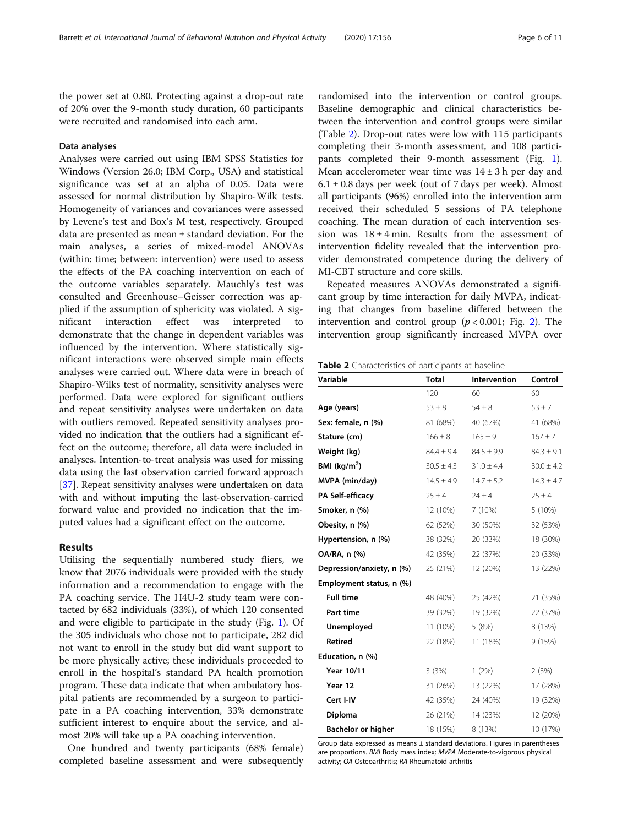the power set at 0.80. Protecting against a drop-out rate of 20% over the 9-month study duration, 60 participants were recruited and randomised into each arm.

# Data analyses

Analyses were carried out using IBM SPSS Statistics for Windows (Version 26.0; IBM Corp., USA) and statistical significance was set at an alpha of 0.05. Data were assessed for normal distribution by Shapiro-Wilk tests. Homogeneity of variances and covariances were assessed by Levene's test and Box's M test, respectively. Grouped data are presented as mean ± standard deviation. For the main analyses, a series of mixed-model ANOVAs (within: time; between: intervention) were used to assess the effects of the PA coaching intervention on each of the outcome variables separately. Mauchly's test was consulted and Greenhouse–Geisser correction was applied if the assumption of sphericity was violated. A significant interaction effect was interpreted to demonstrate that the change in dependent variables was influenced by the intervention. Where statistically significant interactions were observed simple main effects analyses were carried out. Where data were in breach of Shapiro-Wilks test of normality, sensitivity analyses were performed. Data were explored for significant outliers and repeat sensitivity analyses were undertaken on data with outliers removed. Repeated sensitivity analyses provided no indication that the outliers had a significant effect on the outcome; therefore, all data were included in analyses. Intention-to-treat analysis was used for missing data using the last observation carried forward approach [[37\]](#page-9-0). Repeat sensitivity analyses were undertaken on data with and without imputing the last-observation-carried forward value and provided no indication that the imputed values had a significant effect on the outcome.

#### Results

Utilising the sequentially numbered study fliers, we know that 2076 individuals were provided with the study information and a recommendation to engage with the PA coaching service. The H4U-2 study team were contacted by 682 individuals (33%), of which 120 consented and were eligible to participate in the study (Fig. [1\)](#page-2-0). Of the 305 individuals who chose not to participate, 282 did not want to enroll in the study but did want support to be more physically active; these individuals proceeded to enroll in the hospital's standard PA health promotion program. These data indicate that when ambulatory hospital patients are recommended by a surgeon to participate in a PA coaching intervention, 33% demonstrate sufficient interest to enquire about the service, and almost 20% will take up a PA coaching intervention.

One hundred and twenty participants (68% female) completed baseline assessment and were subsequently

randomised into the intervention or control groups. Baseline demographic and clinical characteristics between the intervention and control groups were similar (Table 2). Drop-out rates were low with 115 participants completing their 3-month assessment, and 108 participants completed their 9-month assessment (Fig. [1](#page-2-0)). Mean accelerometer wear time was  $14 \pm 3$  h per day and  $6.1 \pm 0.8$  days per week (out of 7 days per week). Almost all participants (96%) enrolled into the intervention arm received their scheduled 5 sessions of PA telephone coaching. The mean duration of each intervention session was  $18 \pm 4$  min. Results from the assessment of intervention fidelity revealed that the intervention provider demonstrated competence during the delivery of MI-CBT structure and core skills.

Repeated measures ANOVAs demonstrated a significant group by time interaction for daily MVPA, indicating that changes from baseline differed between the intervention and control group ( $p < 0.001$ ; Fig. [2](#page-6-0)). The intervention group significantly increased MVPA over

Table 2 Characteristics of participants at baseline

| Variable                  | <b>Total</b>   | Intervention   | Control        |
|---------------------------|----------------|----------------|----------------|
|                           | 120            | 60             | 60             |
| Age (years)               | $53 \pm 8$     | $54 \pm 8$     | $53 \pm 7$     |
| Sex: female, n (%)        | 81 (68%)       | 40 (67%)       | 41 (68%)       |
| Stature (cm)              | $166 \pm 8$    | $165 \pm 9$    | $167 \pm 7$    |
| Weight (kg)               | $84.4 \pm 9.4$ | $84.5 \pm 9.9$ | $84.3 \pm 9.1$ |
| BMI ( $kg/m2$ )           | $30.5 \pm 4.3$ | $31.0 \pm 4.4$ | $30.0 \pm 4.2$ |
| MVPA (min/day)            | $14.5 \pm 4.9$ | $14.7 \pm 5.2$ | $14.3 \pm 4.7$ |
| PA Self-efficacy          | $25 \pm 4$     | $24 \pm 4$     | $25 \pm 4$     |
| Smoker, n (%)             | 12 (10%)       | 7(10%)         | 5 (10%)        |
| Obesity, n (%)            | 62 (52%)       | 30 (50%)       | 32 (53%)       |
| Hypertension, n (%)       | 38 (32%)       | 20 (33%)       | 18 (30%)       |
| OA/RA, n (%)              | 42 (35%)       | 22 (37%)       | 20 (33%)       |
| Depression/anxiety, n (%) | 25 (21%)       | 12 (20%)       | 13 (22%)       |
| Employment status, n (%)  |                |                |                |
| <b>Full time</b>          | 48 (40%)       | 25 (42%)       | 21 (35%)       |
| Part time                 | 39 (32%)       | 19 (32%)       | 22 (37%)       |
| <b>Unemployed</b>         | 11 (10%)       | 5(8%)          | 8 (13%)        |
| <b>Retired</b>            | 22 (18%)       | 11 (18%)       | 9 (15%)        |
| Education, n (%)          |                |                |                |
| Year 10/11                | 3(3%)          | 1(2%)          | 2(3%)          |
| Year 12                   | 31 (26%)       | 13 (22%)       | 17 (28%)       |
| Cert I-IV                 | 42 (35%)       | 24 (40%)       | 19 (32%)       |
| Diploma                   | 26 (21%)       | 14 (23%)       | 12 (20%)       |
| <b>Bachelor or higher</b> | 18 (15%)       | 8 (13%)        | 10 (17%)       |

Group data expressed as means  $\pm$  standard deviations. Figures in parentheses are proportions. BMI Body mass index; MVPA Moderate-to-vigorous physical activity; OA Osteoarthritis; RA Rheumatoid arthritis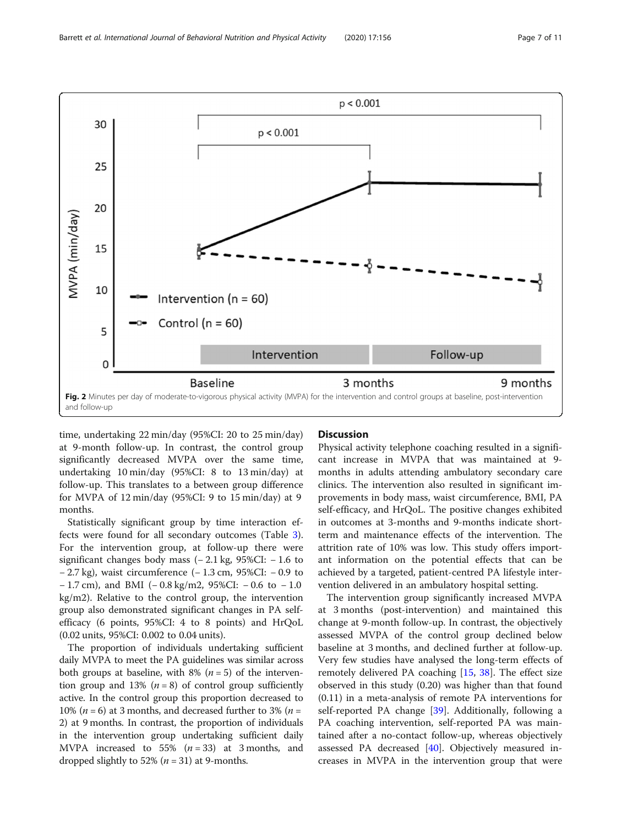<span id="page-6-0"></span>

time, undertaking 22 min/day (95%CI: 20 to 25 min/day) at 9-month follow-up. In contrast, the control group significantly decreased MVPA over the same time, undertaking 10 min/day (95%CI: 8 to 13 min/day) at follow-up. This translates to a between group difference for MVPA of 12 min/day (95%CI: 9 to 15 min/day) at 9 months.

Statistically significant group by time interaction effects were found for all secondary outcomes (Table [3](#page-7-0)). For the intervention group, at follow-up there were significant changes body mass  $(-2.1 \text{ kg}, 95\% \text{ CI}: -1.6 \text{ to}$ − 2.7 kg), waist circumference (− 1.3 cm, 95%CI: − 0.9 to − 1.7 cm), and BMI (− 0.8 kg/m2, 95%CI: − 0.6 to − 1.0 kg/m2). Relative to the control group, the intervention group also demonstrated significant changes in PA selfefficacy (6 points, 95%CI: 4 to 8 points) and HrQoL (0.02 units, 95%CI: 0.002 to 0.04 units).

The proportion of individuals undertaking sufficient daily MVPA to meet the PA guidelines was similar across both groups at baseline, with 8% ( $n = 5$ ) of the intervention group and 13% ( $n = 8$ ) of control group sufficiently active. In the control group this proportion decreased to 10% ( $n = 6$ ) at 3 months, and decreased further to 3% ( $n =$ 2) at 9 months. In contrast, the proportion of individuals in the intervention group undertaking sufficient daily MVPA increased to 55%  $(n=33)$  at 3 months, and dropped slightly to 52% ( $n = 31$ ) at 9-months.

# **Discussion**

Physical activity telephone coaching resulted in a significant increase in MVPA that was maintained at 9 months in adults attending ambulatory secondary care clinics. The intervention also resulted in significant improvements in body mass, waist circumference, BMI, PA self-efficacy, and HrQoL. The positive changes exhibited in outcomes at 3-months and 9-months indicate shortterm and maintenance effects of the intervention. The attrition rate of 10% was low. This study offers important information on the potential effects that can be achieved by a targeted, patient-centred PA lifestyle intervention delivered in an ambulatory hospital setting.

The intervention group significantly increased MVPA at 3 months (post-intervention) and maintained this change at 9-month follow-up. In contrast, the objectively assessed MVPA of the control group declined below baseline at 3 months, and declined further at follow-up. Very few studies have analysed the long-term effects of remotely delivered PA coaching [[15,](#page-9-0) [38](#page-9-0)]. The effect size observed in this study (0.20) was higher than that found (0.11) in a meta-analysis of remote PA interventions for self-reported PA change [\[39\]](#page-9-0). Additionally, following a PA coaching intervention, self-reported PA was maintained after a no-contact follow-up, whereas objectively assessed PA decreased  $[40]$  $[40]$ . Objectively measured increases in MVPA in the intervention group that were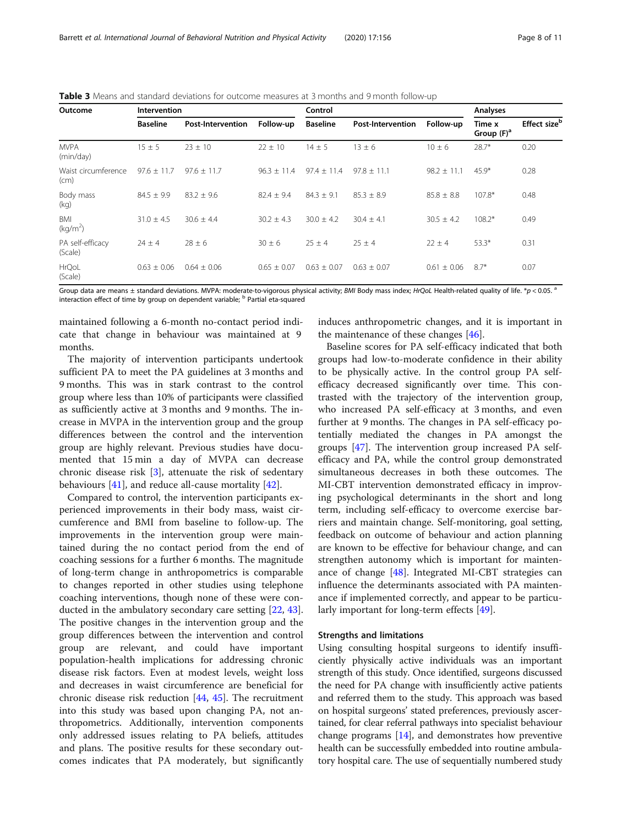<span id="page-7-0"></span>Table 3 Means and standard deviations for outcome measures at 3 months and 9 month follow-up

| Outcome                     | Intervention    |                          |                 | Control         |                          |                 | Analyses                |                          |
|-----------------------------|-----------------|--------------------------|-----------------|-----------------|--------------------------|-----------------|-------------------------|--------------------------|
|                             | <b>Baseline</b> | <b>Post-Intervention</b> | Follow-up       | <b>Baseline</b> | <b>Post-Intervention</b> | Follow-up       | Time x<br>Group $(F)^a$ | Effect size <sup>b</sup> |
| <b>MVPA</b><br>(min/day)    | $15 \pm 5$      | $23 \pm 10$              | $22 \pm 10$     | $14 \pm 5$      | $13 \pm 6$               | $10 \pm 6$      | $28.7*$                 | 0.20                     |
| Waist circumference<br>(cm) | $97.6 \pm 11.7$ | $97.6 \pm 11.7$          | $96.3 \pm 11.4$ | $97.4 \pm 11.4$ | $97.8 \pm 11.1$          | $98.2 \pm 11.1$ | $45.9*$                 | 0.28                     |
| Body mass<br>(kq)           | $84.5 \pm 9.9$  | $83.2 \pm 9.6$           | $82.4 \pm 9.4$  | $84.3 \pm 9.1$  | $85.3 \pm 8.9$           | $85.8 \pm 8.8$  | 107.8*                  | 0.48                     |
| <b>BMI</b><br>$(kq/m^2)$    | $31.0 \pm 4.5$  | $30.6 \pm 4.4$           | $30.2 \pm 4.3$  | $30.0 \pm 4.2$  | $30.4 \pm 4.1$           | $30.5 \pm 4.2$  | $108.2*$                | 0.49                     |
| PA self-efficacy<br>(Scale) | $24 \pm 4$      | $28 \pm 6$               | $30 \pm 6$      | $25 \pm 4$      | $25 \pm 4$               | $22 \pm 4$      | $53.3*$                 | 0.31                     |
| HrQoL<br>(Scale)            | $0.63 \pm 0.06$ | $0.64 \pm 0.06$          | $0.65 \pm 0.07$ | $0.63 \pm 0.07$ | $0.63 \pm 0.07$          | $0.61 \pm 0.06$ | $8.7*$                  | 0.07                     |

Group data are means ± standard deviations. MVPA: moderate-to-vigorous physical activity; BMI Body mass index; HrQoL Health-related quality of life. \*p < 0.05.  $^{\circ}$ interaction effect of time by group on dependent variable; <sup>b</sup> Partial eta-squared

maintained following a 6-month no-contact period indicate that change in behaviour was maintained at 9 months.

The majority of intervention participants undertook sufficient PA to meet the PA guidelines at 3 months and 9 months. This was in stark contrast to the control group where less than 10% of participants were classified as sufficiently active at 3 months and 9 months. The increase in MVPA in the intervention group and the group differences between the control and the intervention group are highly relevant. Previous studies have documented that 15 min a day of MVPA can decrease chronic disease risk [[3\]](#page-9-0), attenuate the risk of sedentary behaviours [[41\]](#page-9-0), and reduce all-cause mortality [[42\]](#page-9-0).

Compared to control, the intervention participants experienced improvements in their body mass, waist circumference and BMI from baseline to follow-up. The improvements in the intervention group were maintained during the no contact period from the end of coaching sessions for a further 6 months. The magnitude of long-term change in anthropometrics is comparable to changes reported in other studies using telephone coaching interventions, though none of these were conducted in the ambulatory secondary care setting [\[22](#page-9-0), [43](#page-9-0)]. The positive changes in the intervention group and the group differences between the intervention and control group are relevant, and could have important population-health implications for addressing chronic disease risk factors. Even at modest levels, weight loss and decreases in waist circumference are beneficial for chronic disease risk reduction [[44,](#page-10-0) [45](#page-10-0)]. The recruitment into this study was based upon changing PA, not anthropometrics. Additionally, intervention components only addressed issues relating to PA beliefs, attitudes and plans. The positive results for these secondary outcomes indicates that PA moderately, but significantly

induces anthropometric changes, and it is important in the maintenance of these changes [\[46\]](#page-10-0).

Baseline scores for PA self-efficacy indicated that both groups had low-to-moderate confidence in their ability to be physically active. In the control group PA selfefficacy decreased significantly over time. This contrasted with the trajectory of the intervention group, who increased PA self-efficacy at 3 months, and even further at 9 months. The changes in PA self-efficacy potentially mediated the changes in PA amongst the groups [[47\]](#page-10-0). The intervention group increased PA selfefficacy and PA, while the control group demonstrated simultaneous decreases in both these outcomes. The MI-CBT intervention demonstrated efficacy in improving psychological determinants in the short and long term, including self-efficacy to overcome exercise barriers and maintain change. Self-monitoring, goal setting, feedback on outcome of behaviour and action planning are known to be effective for behaviour change, and can strengthen autonomy which is important for maintenance of change [\[48](#page-10-0)]. Integrated MI-CBT strategies can influence the determinants associated with PA maintenance if implemented correctly, and appear to be particularly important for long-term effects [\[49](#page-10-0)].

#### Strengths and limitations

Using consulting hospital surgeons to identify insufficiently physically active individuals was an important strength of this study. Once identified, surgeons discussed the need for PA change with insufficiently active patients and referred them to the study. This approach was based on hospital surgeons' stated preferences, previously ascertained, for clear referral pathways into specialist behaviour change programs [[14](#page-9-0)], and demonstrates how preventive health can be successfully embedded into routine ambulatory hospital care. The use of sequentially numbered study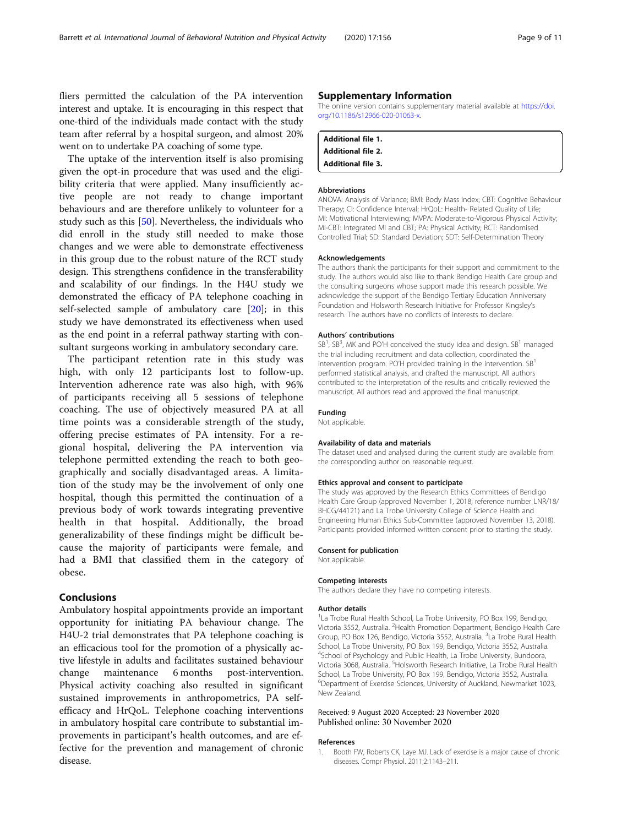<span id="page-8-0"></span>fliers permitted the calculation of the PA intervention interest and uptake. It is encouraging in this respect that one-third of the individuals made contact with the study team after referral by a hospital surgeon, and almost 20% went on to undertake PA coaching of some type.

The uptake of the intervention itself is also promising given the opt-in procedure that was used and the eligibility criteria that were applied. Many insufficiently active people are not ready to change important behaviours and are therefore unlikely to volunteer for a study such as this [\[50](#page-10-0)]. Nevertheless, the individuals who did enroll in the study still needed to make those changes and we were able to demonstrate effectiveness in this group due to the robust nature of the RCT study design. This strengthens confidence in the transferability and scalability of our findings. In the H4U study we demonstrated the efficacy of PA telephone coaching in self-selected sample of ambulatory care [\[20\]](#page-9-0); in this study we have demonstrated its effectiveness when used as the end point in a referral pathway starting with consultant surgeons working in ambulatory secondary care.

The participant retention rate in this study was high, with only 12 participants lost to follow-up. Intervention adherence rate was also high, with 96% of participants receiving all 5 sessions of telephone coaching. The use of objectively measured PA at all time points was a considerable strength of the study, offering precise estimates of PA intensity. For a regional hospital, delivering the PA intervention via telephone permitted extending the reach to both geographically and socially disadvantaged areas. A limitation of the study may be the involvement of only one hospital, though this permitted the continuation of a previous body of work towards integrating preventive health in that hospital. Additionally, the broad generalizability of these findings might be difficult because the majority of participants were female, and had a BMI that classified them in the category of obese.

# Conclusions

Ambulatory hospital appointments provide an important opportunity for initiating PA behaviour change. The H4U-2 trial demonstrates that PA telephone coaching is an efficacious tool for the promotion of a physically active lifestyle in adults and facilitates sustained behaviour change maintenance 6 months post-intervention. Physical activity coaching also resulted in significant sustained improvements in anthropometrics, PA selfefficacy and HrQoL. Telephone coaching interventions in ambulatory hospital care contribute to substantial improvements in participant's health outcomes, and are effective for the prevention and management of chronic disease.

## Supplementary Information

The online version contains supplementary material available at [https://doi.](https://doi.org/10.1186/s12966-020-01063-x) [org/10.1186/s12966-020-01063-x](https://doi.org/10.1186/s12966-020-01063-x).

| <b>Additional file 1.</b> |  |
|---------------------------|--|
| <b>Additional file 2.</b> |  |
| <b>Additional file 3.</b> |  |

#### Abbreviations

ANOVA: Analysis of Variance; BMI: Body Mass Index; CBT: Cognitive Behaviour Therapy; CI: Confidence Interval; HrQoL: Health- Related Quality of Life; MI: Motivational Interviewing; MVPA: Moderate-to-Vigorous Physical Activity; MI-CBT: Integrated MI and CBT; PA: Physical Activity; RCT: Randomised Controlled Trial; SD: Standard Deviation; SDT: Self-Determination Theory

#### Acknowledgements

The authors thank the participants for their support and commitment to the study. The authors would also like to thank Bendigo Health Care group and the consulting surgeons whose support made this research possible. We acknowledge the support of the Bendigo Tertiary Education Anniversary Foundation and Holsworth Research Initiative for Professor Kingsley's research. The authors have no conflicts of interests to declare.

#### Authors' contributions

SB<sup>1</sup>, SB<sup>3</sup>, MK and PO'H conceived the study idea and design. SB<sup>1</sup> managed the trial including recruitment and data collection, coordinated the intervention program. PO'H provided training in the intervention.  $SB<sup>1</sup>$ performed statistical analysis, and drafted the manuscript. All authors contributed to the interpretation of the results and critically reviewed the manuscript. All authors read and approved the final manuscript.

#### Funding

Not applicable.

# Availability of data and materials

The dataset used and analysed during the current study are available from the corresponding author on reasonable request.

#### Ethics approval and consent to participate

The study was approved by the Research Ethics Committees of Bendigo Health Care Group (approved November 1, 2018; reference number LNR/18/ BHCG/44121) and La Trobe University College of Science Health and Engineering Human Ethics Sub-Committee (approved November 13, 2018). Participants provided informed written consent prior to starting the study.

#### Consent for publication

Not applicable.

#### Competing interests

The authors declare they have no competing interests.

#### Author details

<sup>1</sup>La Trobe Rural Health School, La Trobe University, PO Box 199, Bendigo, Victoria 3552, Australia. <sup>2</sup> Health Promotion Department, Bendigo Health Care Group, PO Box 126, Bendigo, Victoria 3552, Australia. <sup>3</sup>La Trobe Rural Health School, La Trobe University, PO Box 199, Bendigo, Victoria 3552, Australia. 4 School of Psychology and Public Health, La Trobe University, Bundoora, Victoria 3068, Australia. <sup>5</sup>Holsworth Research Initiative, La Trobe Rural Health School, La Trobe University, PO Box 199, Bendigo, Victoria 3552, Australia. 6 Department of Exercise Sciences, University of Auckland, Newmarket 1023, New Zealand.

# Received: 9 August 2020 Accepted: 23 November 2020

#### References

1. Booth FW, Roberts CK, Laye MJ. Lack of exercise is a major cause of chronic diseases. Compr Physiol. 2011;2:1143–211.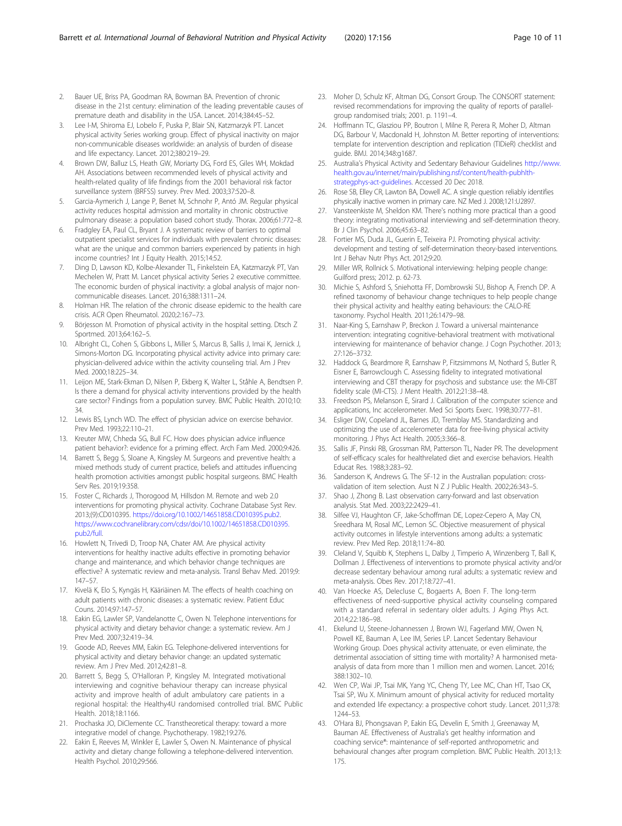- <span id="page-9-0"></span>2. Bauer UE, Briss PA, Goodman RA, Bowman BA. Prevention of chronic disease in the 21st century: elimination of the leading preventable causes of premature death and disability in the USA. Lancet. 2014;384:45–52.
- 3. Lee I-M, Shiroma EJ, Lobelo F, Puska P, Blair SN, Katzmarzyk PT. Lancet physical activity Series working group. Effect of physical inactivity on major non-communicable diseases worldwide: an analysis of burden of disease and life expectancy. Lancet. 2012;380:219–29.
- 4. Brown DW, Balluz LS, Heath GW, Moriarty DG, Ford ES, Giles WH, Mokdad AH. Associations between recommended levels of physical activity and health-related quality of life findings from the 2001 behavioral risk factor surveillance system (BRFSS) survey. Prev Med. 2003;37:520–8.
- 5. Garcia-Aymerich J, Lange P, Benet M, Schnohr P, Antó JM. Regular physical activity reduces hospital admission and mortality in chronic obstructive pulmonary disease: a population based cohort study. Thorax. 2006;61:772–8.
- 6. Fradgley EA, Paul CL, Bryant J. A systematic review of barriers to optimal outpatient specialist services for individuals with prevalent chronic diseases: what are the unique and common barriers experienced by patients in high income countries? Int J Equity Health. 2015;14:52.
- 7. Ding D, Lawson KD, Kolbe-Alexander TL, Finkelstein EA, Katzmarzyk PT, Van Mechelen W, Pratt M. Lancet physical activity Series 2 executive committee. The economic burden of physical inactivity: a global analysis of major noncommunicable diseases. Lancet. 2016;388:1311–24.
- 8. Holman HR. The relation of the chronic disease epidemic to the health care crisis. ACR Open Rheumatol. 2020;2:167–73.
- Börjesson M. Promotion of physical activity in the hospital setting. Dtsch Z Sportmed. 2013;64:162–5.
- 10. Albright CL, Cohen S, Gibbons L, Miller S, Marcus B, Sallis J, Imai K, Jernick J, Simons-Morton DG. Incorporating physical activity advice into primary care: physician-delivered advice within the activity counseling trial. Am J Prev Med. 2000;18:225–34.
- 11. Leijon ME, Stark-Ekman D, Nilsen P, Ekberg K, Walter L, Ståhle A, Bendtsen P. Is there a demand for physical activity interventions provided by the health care sector? Findings from a population survey. BMC Public Health. 2010;10: 34.
- 12. Lewis BS, Lynch WD. The effect of physician advice on exercise behavior. Prev Med. 1993;22:110–21.
- 13. Kreuter MW, Chheda SG, Bull FC. How does physician advice influence patient behavior?: evidence for a priming effect. Arch Fam Med. 2000;9:426.
- 14. Barrett S, Begg S, Sloane A, Kingsley M. Surgeons and preventive health: a mixed methods study of current practice, beliefs and attitudes influencing health promotion activities amongst public hospital surgeons. BMC Health Serv Res. 2019;19:358.
- 15. Foster C, Richards J, Thorogood M, Hillsdon M. Remote and web 2.0 interventions for promoting physical activity. Cochrane Database Syst Rev. 2013;(9):CD010395. <https://doi.org/10.1002/14651858.CD010395.pub2>. [https://www.cochranelibrary.com/cdsr/doi/10.1002/14651858.CD010395.](https://www.cochranelibrary.com/cdsr/doi/10.1002/14651858.CD010395.pub2/full) [pub2/full.](https://www.cochranelibrary.com/cdsr/doi/10.1002/14651858.CD010395.pub2/full)
- 16. Howlett N, Trivedi D, Troop NA, Chater AM. Are physical activity interventions for healthy inactive adults effective in promoting behavior change and maintenance, and which behavior change techniques are effective? A systematic review and meta-analysis. Transl Behav Med. 2019;9: 147–57.
- 17. Kivelä K, Elo S, Kyngäs H, Kääriäinen M. The effects of health coaching on adult patients with chronic diseases: a systematic review. Patient Educ Couns. 2014;97:147–57.
- 18. Eakin EG, Lawler SP, Vandelanotte C, Owen N. Telephone interventions for physical activity and dietary behavior change: a systematic review. Am J Prev Med. 2007;32:419–34.
- 19. Goode AD, Reeves MM, Eakin EG. Telephone-delivered interventions for physical activity and dietary behavior change: an updated systematic review. Am J Prev Med. 2012;42:81–8.
- 20. Barrett S, Begg S, O'Halloran P, Kingsley M. Integrated motivational interviewing and cognitive behaviour therapy can increase physical activity and improve health of adult ambulatory care patients in a regional hospital: the Healthy4U randomised controlled trial. BMC Public Health. 2018;18:1166.
- 21. Prochaska JO, DiClemente CC. Transtheoretical therapy: toward a more integrative model of change. Psychotherapy. 1982;19:276.
- 22. Eakin E, Reeves M, Winkler E, Lawler S, Owen N. Maintenance of physical activity and dietary change following a telephone-delivered intervention. Health Psychol. 2010;29:566.
- 23. Moher D, Schulz KF, Altman DG, Consort Group. The CONSORT statement: revised recommendations for improving the quality of reports of parallelgroup randomised trials; 2001. p. 1191–4.
- 24. Hoffmann TC, Glasziou PP, Boutron I, Milne R, Perera R, Moher D, Altman DG, Barbour V, Macdonald H, Johnston M. Better reporting of interventions: template for intervention description and replication (TIDieR) checklist and guide. BMJ. 2014;348:g1687.
- 25. Australia's Physical Activity and Sedentary Behaviour Guidelines [http://www.](http://www.health.gov.au/internet/main/publishing.nsf/content/health-pubhlth-strategphys-act-guidelines) [health.gov.au/internet/main/publishing.nsf/content/health-pubhlth](http://www.health.gov.au/internet/main/publishing.nsf/content/health-pubhlth-strategphys-act-guidelines)[strategphys-act-guidelines](http://www.health.gov.au/internet/main/publishing.nsf/content/health-pubhlth-strategphys-act-guidelines). Accessed 20 Dec 2018.
- 26. Rose SB, Elley CR, Lawton BA, Dowell AC. A single question reliably identifies physically inactive women in primary care. NZ Med J. 2008;121:U2897.
- 27. Vansteenkiste M, Sheldon KM. There's nothing more practical than a good theory: integrating motivational interviewing and self-determination theory. Br J Clin Psychol. 2006;45:63–82.
- 28. Fortier MS, Duda JL, Guerin E, Teixeira PJ. Promoting physical activity: development and testing of self-determination theory-based interventions. Int J Behav Nutr Phys Act. 2012;9:20.
- 29. Miller WR, Rollnick S. Motivational interviewing: helping people change: Guilford press; 2012. p. 62-73.
- 30. Michie S, Ashford S, Sniehotta FF, Dombrowski SU, Bishop A, French DP. A refined taxonomy of behaviour change techniques to help people change their physical activity and healthy eating behaviours: the CALO-RE taxonomy. Psychol Health. 2011;26:1479–98.
- 31. Naar-King S, Earnshaw P, Breckon J. Toward a universal maintenance intervention: integrating cognitive-behavioral treatment with motivational interviewing for maintenance of behavior change. J Cogn Psychother. 2013; 27:126–3732.
- 32. Haddock G, Beardmore R, Earnshaw P, Fitzsimmons M, Nothard S, Butler R, Eisner E, Barrowclough C. Assessing fidelity to integrated motivational interviewing and CBT therapy for psychosis and substance use: the MI-CBT fidelity scale (MI-CTS). J Ment Health. 2012;21:38–48.
- 33. Freedson PS, Melanson E, Sirard J. Calibration of the computer science and applications, Inc accelerometer. Med Sci Sports Exerc. 1998;30:777–81.
- 34. Esliger DW, Copeland JL, Barnes JD, Tremblay MS. Standardizing and optimizing the use of accelerometer data for free-living physical activity monitoring. J Phys Act Health. 2005;3:366–8.
- 35. Sallis JF, Pinski RB, Grossman RM, Patterson TL, Nader PR. The development of self-efficacy scales for healthrelated diet and exercise behaviors. Health Educat Res. 1988;3:283–92.
- 36. Sanderson K, Andrews G. The SF-12 in the Australian population: crossvalidation of item selection. Aust N Z J Public Health. 2002;26:343–5.
- 37. Shao J, Zhong B. Last observation carry-forward and last observation analysis. Stat Med. 2003;22:2429–41.
- 38. Silfee VJ, Haughton CF, Jake-Schoffman DE, Lopez-Cepero A, May CN, Sreedhara M, Rosal MC, Lemon SC. Objective measurement of physical activity outcomes in lifestyle interventions among adults: a systematic review. Prev Med Rep. 2018;11:74–80.
- 39. Cleland V, Squibb K, Stephens L, Dalby J, Timperio A, Winzenberg T, Ball K, Dollman J. Effectiveness of interventions to promote physical activity and/or decrease sedentary behaviour among rural adults: a systematic review and meta-analysis. Obes Rev. 2017;18:727–41.
- 40. Van Hoecke AS, Delecluse C, Bogaerts A, Boen F. The long-term effectiveness of need-supportive physical activity counseling compared with a standard referral in sedentary older adults. J Aging Phys Act. 2014;22:186–98.
- 41. Ekelund U, Steene-Johannessen J, Brown WJ, Fagerland MW, Owen N, Powell KE, Bauman A, Lee IM, Series LP. Lancet Sedentary Behaviour Working Group. Does physical activity attenuate, or even eliminate, the detrimental association of sitting time with mortality? A harmonised metaanalysis of data from more than 1 million men and women. Lancet. 2016; 388:1302–10.
- 42. Wen CP, Wai JP, Tsai MK, Yang YC, Cheng TY, Lee MC, Chan HT, Tsao CK, Tsai SP, Wu X. Minimum amount of physical activity for reduced mortality and extended life expectancy: a prospective cohort study. Lancet. 2011;378: 1244–53.
- 43. O'Hara BJ, Phongsavan P, Eakin EG, Develin E, Smith J, Greenaway M, Bauman AE. Effectiveness of Australia's get healthy information and coaching service®: maintenance of self-reported anthropometric and behavioural changes after program completion. BMC Public Health. 2013;13: 175.